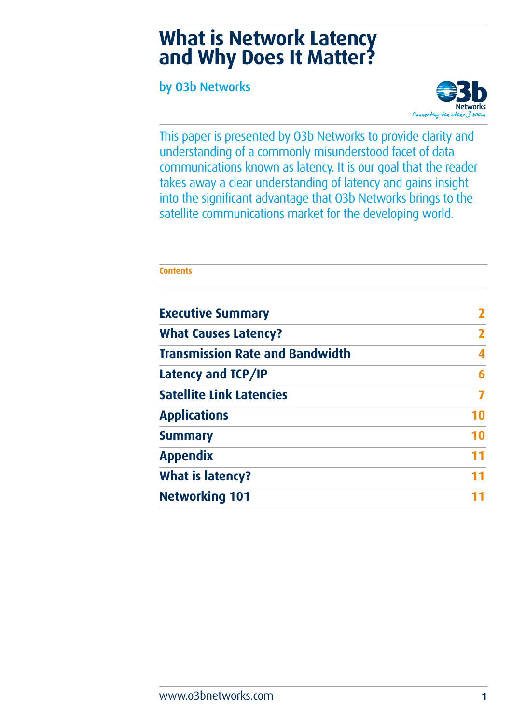# **What is Network Latency and Why Does It Matter?**

by O3b Networks



This paper is presented by O3b Networks to provide clarity and understanding of a commonly misunderstood facet of data communications known as latency. It is our goal that the reader takes away a clear understanding of latency and gains insight into the significant advantage that O3b Networks brings to the satellite communications market for the developing world.

# **Contents Executive Summary 2 What Causes Latency? 2 Transmission Rate and Bandwidth 4 Latency and TCP/IP 6 Satellite Link Latencies 7 Applications 10 Summary 10 Appendix 11 What is latency? 11**

**Networking 101 11**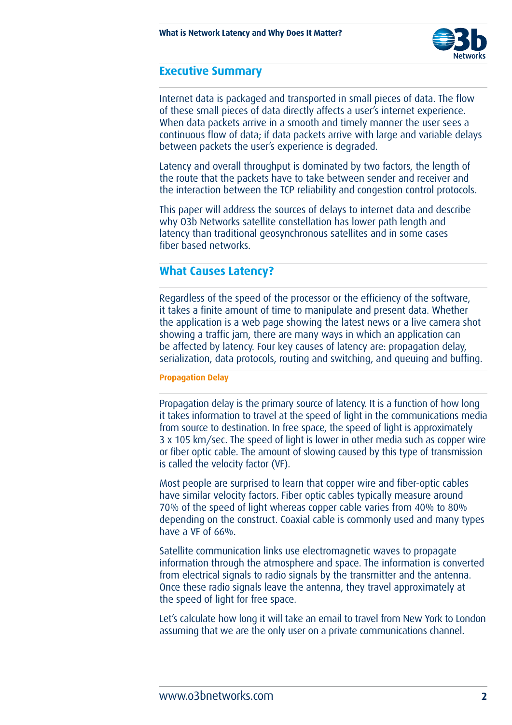

### **Executive Summary**

Internet data is packaged and transported in small pieces of data. The flow of these small pieces of data directly affects a user's internet experience. When data packets arrive in a smooth and timely manner the user sees a continuous flow of data; if data packets arrive with large and variable delays between packets the user's experience is degraded.

Latency and overall throughput is dominated by two factors, the length of the route that the packets have to take between sender and receiver and the interaction between the TCP reliability and congestion control protocols.

This paper will address the sources of delays to internet data and describe why O3b Networks satellite constellation has lower path length and latency than traditional geosynchronous satellites and in some cases fiber based networks.

## **What Causes Latency?**

Regardless of the speed of the processor or the efficiency of the software, it takes a finite amount of time to manipulate and present data. Whether the application is a web page showing the latest news or a live camera shot showing a traffic jam, there are many ways in which an application can be affected by latency. Four key causes of latency are: propagation delay, serialization, data protocols, routing and switching, and queuing and buffing.

#### **Propagation Delay**

Propagation delay is the primary source of latency. It is a function of how long it takes information to travel at the speed of light in the communications media from source to destination. In free space, the speed of light is approximately 3 x 105 km/sec. The speed of light is lower in other media such as copper wire or fiber optic cable. The amount of slowing caused by this type of transmission is called the velocity factor (VF).

Most people are surprised to learn that copper wire and fiber-optic cables have similar velocity factors. Fiber optic cables typically measure around 70% of the speed of light whereas copper cable varies from 40% to 80% depending on the construct. Coaxial cable is commonly used and many types have a VF of 66%.

Satellite communication links use electromagnetic waves to propagate information through the atmosphere and space. The information is converted from electrical signals to radio signals by the transmitter and the antenna. Once these radio signals leave the antenna, they travel approximately at the speed of light for free space.

Let's calculate how long it will take an email to travel from New York to London assuming that we are the only user on a private communications channel.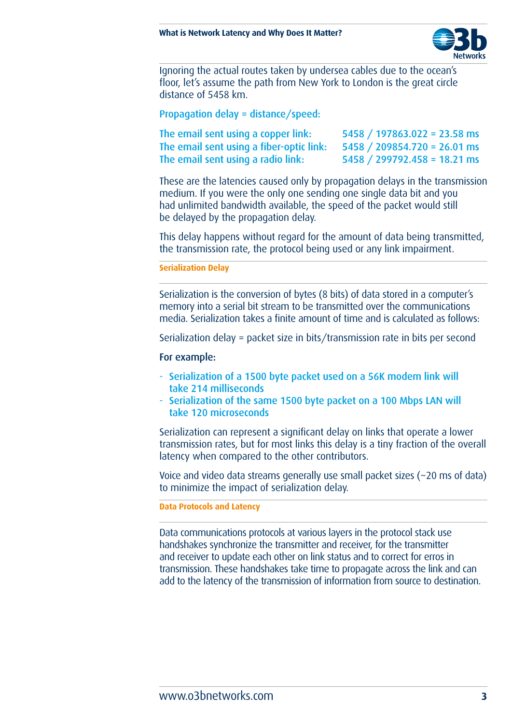

Ignoring the actual routes taken by undersea cables due to the ocean's floor, let's assume the path from New York to London is the great circle distance of 5458 km.

Propagation delay = distance/speed:

| The email sent using a copper link:      | $5458 / 197863.022 = 23.58$ ms |
|------------------------------------------|--------------------------------|
| The email sent using a fiber-optic link: | $5458 / 209854.720 = 26.01$ ms |
| The email sent using a radio link:       | $5458 / 299792.458 = 18.21$ ms |

These are the latencies caused only by propagation delays in the transmission medium. If you were the only one sending one single data bit and you had unlimited bandwidth available, the speed of the packet would still be delayed by the propagation delay.

This delay happens without regard for the amount of data being transmitted, the transmission rate, the protocol being used or any link impairment.

**Serialization Delay**

Serialization is the conversion of bytes (8 bits) of data stored in a computer's memory into a serial bit stream to be transmitted over the communications media. Serialization takes a finite amount of time and is calculated as follows:

Serialization delay = packet size in bits/transmission rate in bits per second

#### For example:

- Serialization of a 1500 byte packet used on a 56K modem link will take 214 milliseconds
- Serialization of the same 1500 byte packet on a 100 Mbps LAN will take 120 microseconds

Serialization can represent a significant delay on links that operate a lower transmission rates, but for most links this delay is a tiny fraction of the overall latency when compared to the other contributors.

Voice and video data streams generally use small packet sizes (~20 ms of data) to minimize the impact of serialization delay.

**Data Protocols and Latency**

Data communications protocols at various layers in the protocol stack use handshakes synchronize the transmitter and receiver, for the transmitter and receiver to update each other on link status and to correct for erros in transmission. These handshakes take time to propagate across the link and can add to the latency of the transmission of information from source to destination.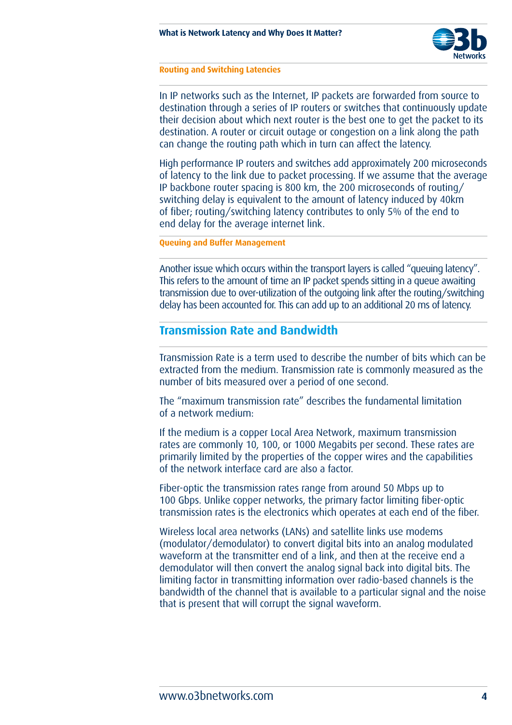

#### **Routing and Switching Latencies**

In IP networks such as the Internet, IP packets are forwarded from source to destination through a series of IP routers or switches that continuously update their decision about which next router is the best one to get the packet to its destination. A router or circuit outage or congestion on a link along the path can change the routing path which in turn can affect the latency.

High performance IP routers and switches add approximately 200 microseconds of latency to the link due to packet processing. If we assume that the average IP backbone router spacing is 800 km, the 200 microseconds of routing/ switching delay is equivalent to the amount of latency induced by 40km of fiber; routing/switching latency contributes to only 5% of the end to end delay for the average internet link.

**Queuing and Buffer Management**

Another issue which occurs within the transport layers is called "queuing latency". This refers to the amount of time an IP packet spends sitting in a queue awaiting transmission due to over-utilization of the outgoing link after the routing/switching delay has been accounted for. This can add up to an additional 20 ms of latency.

## **Transmission Rate and Bandwidth**

Transmission Rate is a term used to describe the number of bits which can be extracted from the medium. Transmission rate is commonly measured as the number of bits measured over a period of one second.

The "maximum transmission rate" describes the fundamental limitation of a network medium:

If the medium is a copper Local Area Network, maximum transmission rates are commonly 10, 100, or 1000 Megabits per second. These rates are primarily limited by the properties of the copper wires and the capabilities of the network interface card are also a factor.

Fiber-optic the transmission rates range from around 50 Mbps up to 100 Gbps. Unlike copper networks, the primary factor limiting fiber-optic transmission rates is the electronics which operates at each end of the fiber.

Wireless local area networks (LANs) and satellite links use modems (modulator/demodulator) to convert digital bits into an analog modulated waveform at the transmitter end of a link, and then at the receive end a demodulator will then convert the analog signal back into digital bits. The limiting factor in transmitting information over radio-based channels is the bandwidth of the channel that is available to a particular signal and the noise that is present that will corrupt the signal waveform.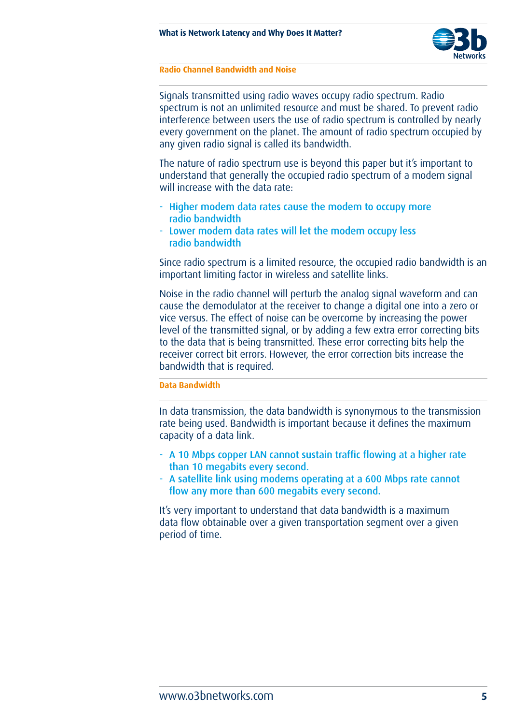

#### **Radio Channel Bandwidth and Noise**

Signals transmitted using radio waves occupy radio spectrum. Radio spectrum is not an unlimited resource and must be shared. To prevent radio interference between users the use of radio spectrum is controlled by nearly every government on the planet. The amount of radio spectrum occupied by any given radio signal is called its bandwidth.

The nature of radio spectrum use is beyond this paper but it's important to understand that generally the occupied radio spectrum of a modem signal will increase with the data rate:

- Higher modem data rates cause the modem to occupy more radio bandwidth
- Lower modem data rates will let the modem occupy less radio bandwidth

Since radio spectrum is a limited resource, the occupied radio bandwidth is an important limiting factor in wireless and satellite links.

Noise in the radio channel will perturb the analog signal waveform and can cause the demodulator at the receiver to change a digital one into a zero or vice versus. The effect of noise can be overcome by increasing the power level of the transmitted signal, or by adding a few extra error correcting bits to the data that is being transmitted. These error correcting bits help the receiver correct bit errors. However, the error correction bits increase the bandwidth that is required.

#### **Data Bandwidth**

In data transmission, the data bandwidth is synonymous to the transmission rate being used. Bandwidth is important because it defines the maximum capacity of a data link.

- A 10 Mbps copper LAN cannot sustain traffic flowing at a higher rate than 10 megabits every second.
- A satellite link using modems operating at a 600 Mbps rate cannot flow any more than 600 megabits every second.

It's very important to understand that data bandwidth is a maximum data flow obtainable over a given transportation segment over a given period of time.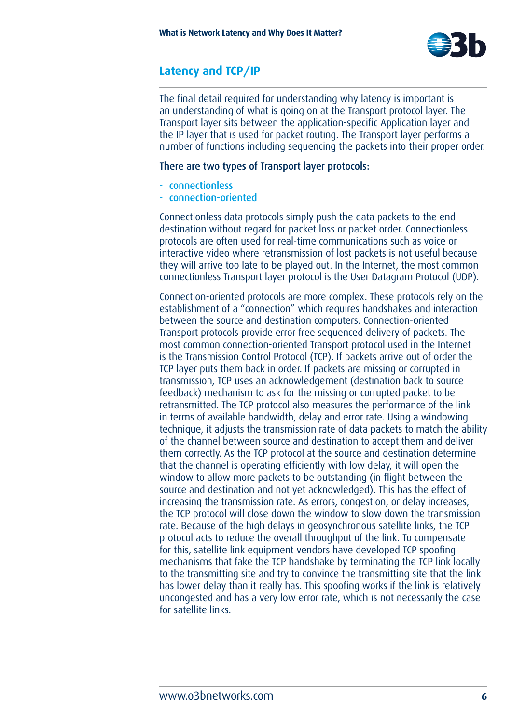

# **Latency and TCP/IP**

The final detail required for understanding why latency is important is an understanding of what is going on at the Transport protocol layer. The Transport layer sits between the application-specific Application layer and the IP layer that is used for packet routing. The Transport layer performs a number of functions including sequencing the packets into their proper order.

### There are two types of Transport layer protocols:

- connectionless
- connection-oriented

Connectionless data protocols simply push the data packets to the end destination without regard for packet loss or packet order. Connectionless protocols are often used for real-time communications such as voice or interactive video where retransmission of lost packets is not useful because they will arrive too late to be played out. In the Internet, the most common connectionless Transport layer protocol is the User Datagram Protocol (UDP).

Connection-oriented protocols are more complex. These protocols rely on the establishment of a "connection" which requires handshakes and interaction between the source and destination computers. Connection-oriented Transport protocols provide error free sequenced delivery of packets. The most common connection-oriented Transport protocol used in the Internet is the Transmission Control Protocol (TCP). If packets arrive out of order the TCP layer puts them back in order. If packets are missing or corrupted in transmission, TCP uses an acknowledgement (destination back to source feedback) mechanism to ask for the missing or corrupted packet to be retransmitted. The TCP protocol also measures the performance of the link in terms of available bandwidth, delay and error rate. Using a windowing technique, it adjusts the transmission rate of data packets to match the ability of the channel between source and destination to accept them and deliver them correctly. As the TCP protocol at the source and destination determine that the channel is operating efficiently with low delay, it will open the window to allow more packets to be outstanding (in flight between the source and destination and not yet acknowledged). This has the effect of increasing the transmission rate. As errors, congestion, or delay increases, the TCP protocol will close down the window to slow down the transmission rate. Because of the high delays in geosynchronous satellite links, the TCP protocol acts to reduce the overall throughput of the link. To compensate for this, satellite link equipment vendors have developed TCP spoofing mechanisms that fake the TCP handshake by terminating the TCP link locally to the transmitting site and try to convince the transmitting site that the link has lower delay than it really has. This spoofing works if the link is relatively uncongested and has a very low error rate, which is not necessarily the case for satellite links.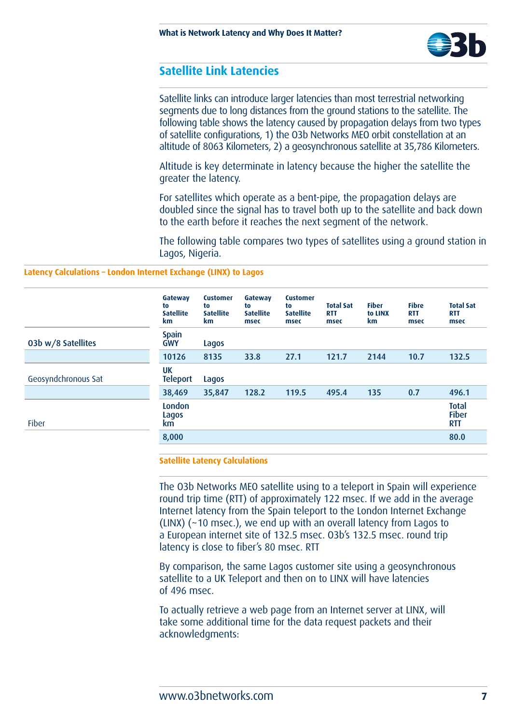

## **Satellite Link Latencies**

Satellite links can introduce larger latencies than most terrestrial networking segments due to long distances from the ground stations to the satellite. The following table shows the latency caused by propagation delays from two types of satellite configurations, 1) the O3b Networks MEO orbit constellation at an altitude of 8063 Kilometers, 2) a geosynchronous satellite at 35,786 Kilometers.

Altitude is key determinate in latency because the higher the satellite the greater the latency.

For satellites which operate as a bent-pipe, the propagation delays are doubled since the signal has to travel both up to the satellite and back down to the earth before it reaches the next segment of the network.

The following table compares two types of satellites using a ground station in Lagos, Nigeria.

#### **Latency Calculations – London Internet Exchange (LINX) to Lagos**

|                     | Gateway<br>to<br><b>Satellite</b><br>km | <b>Customer</b><br>to<br><b>Satellite</b><br>km. | Gateway<br>to<br><b>Satellite</b><br>msec | <b>Customer</b><br>to<br><b>Satellite</b><br>msec | <b>Total Sat</b><br><b>RTT</b><br>msec | <b>Fiber</b><br>to LINX<br>km | <b>Fibre</b><br><b>RTT</b><br>msec | <b>Total Sat</b><br><b>RTT</b><br>msec     |
|---------------------|-----------------------------------------|--------------------------------------------------|-------------------------------------------|---------------------------------------------------|----------------------------------------|-------------------------------|------------------------------------|--------------------------------------------|
| 03b w/8 Satellites  | <b>Spain</b><br><b>GWY</b>              | Lagos                                            |                                           |                                                   |                                        |                               |                                    |                                            |
|                     | 10126                                   | 8135                                             | 33.8                                      | 27.1                                              | 121.7                                  | 2144                          | 10.7                               | 132.5                                      |
| Geosyndchronous Sat | <b>UK</b><br><b>Teleport</b>            | Lagos                                            |                                           |                                                   |                                        |                               |                                    |                                            |
|                     | 38,469                                  | 35,847                                           | 128.2                                     | 119.5                                             | 495.4                                  | 135                           | 0.7                                | 496.1                                      |
| <b>Fiber</b>        | London<br>Lagos<br>km.                  |                                                  |                                           |                                                   |                                        |                               |                                    | <b>Total</b><br><b>Fiber</b><br><b>RTT</b> |
|                     | 8,000                                   |                                                  |                                           |                                                   |                                        |                               |                                    | 80.0                                       |

#### **Satellite Latency Calculations**

The O3b Networks MEO satellite using to a teleport in Spain will experience round trip time (RTT) of approximately 122 msec. If we add in the average Internet latency from the Spain teleport to the London Internet Exchange (LINX) (~10 msec.), we end up with an overall latency from Lagos to a European internet site of 132.5 msec. O3b's 132.5 msec. round trip latency is close to fiber's 80 msec. RTT

By comparison, the same Lagos customer site using a geosynchronous satellite to a UK Teleport and then on to LINX will have latencies of 496 msec.

To actually retrieve a web page from an Internet server at LINX, will take some additional time for the data request packets and their acknowledgments: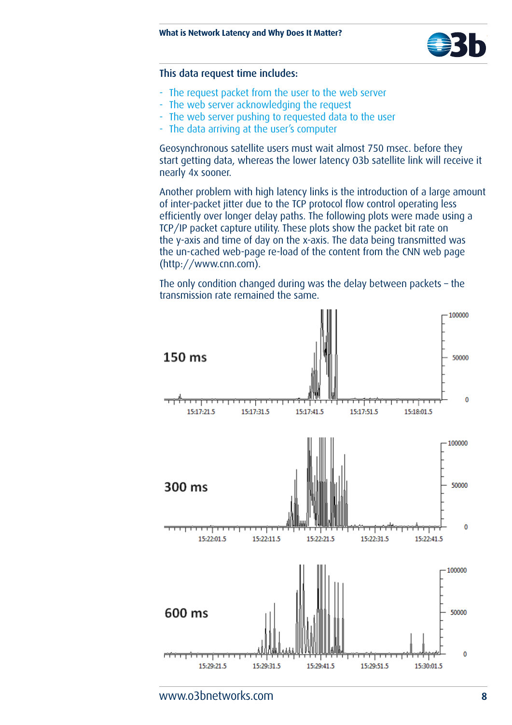

#### This data request time includes:

- The request packet from the user to the web server
- The web server acknowledging the request
- The web server pushing to requested data to the user
- The data arriving at the user's computer

Geosynchronous satellite users must wait almost 750 msec. before they start getting data, whereas the lower latency O3b satellite link will receive it nearly 4x sooner.

Another problem with high latency links is the introduction of a large amount of inter-packet jitter due to the TCP protocol flow control operating less efficiently over longer delay paths. The following plots were made using a TCP/IP packet capture utility. These plots show the packet bit rate on the y-axis and time of day on the x-axis. The data being transmitted was the un-cached web-page re-load of the content from the CNN web page (http://www.cnn.com).

The only condition changed during was the delay between packets – the transmission rate remained the same.

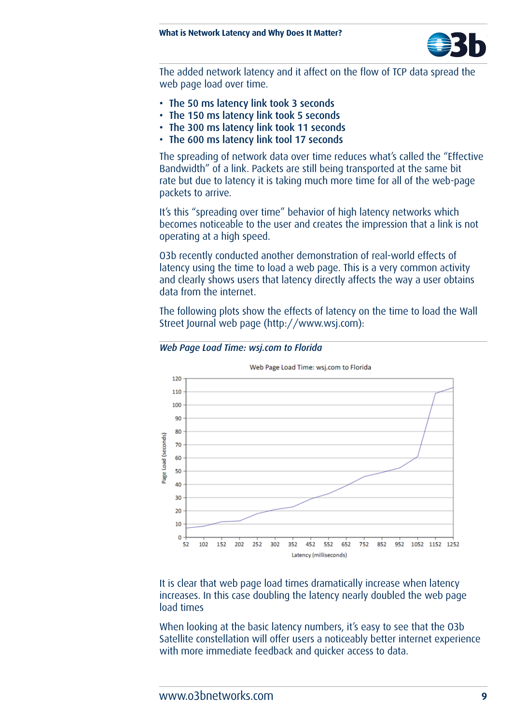

The added network latency and it affect on the flow of TCP data spread the web page load over time.

- The 50 ms latency link took 3 seconds
- The 150 ms latency link took 5 seconds
- The 300 ms latency link took 11 seconds
- The 600 ms latency link tool 17 seconds

The spreading of network data over time reduces what's called the "Effective Bandwidth" of a link. Packets are still being transported at the same bit rate but due to latency it is taking much more time for all of the web-page packets to arrive.

It's this "spreading over time" behavior of high latency networks which becomes noticeable to the user and creates the impression that a link is not operating at a high speed.

O3b recently conducted another demonstration of real-world effects of latency using the time to load a web page. This is a very common activity and clearly shows users that latency directly affects the way a user obtains data from the internet.

The following plots show the effects of latency on the time to load the Wall Street Journal web page (http://www.wsj.com):



*Web Page Load Time: wsj.com to Florida*

It is clear that web page load times dramatically increase when latency increases. In this case doubling the latency nearly doubled the web page load times

When looking at the basic latency numbers, it's easy to see that the O3b Satellite constellation will offer users a noticeably better internet experience with more immediate feedback and quicker access to data.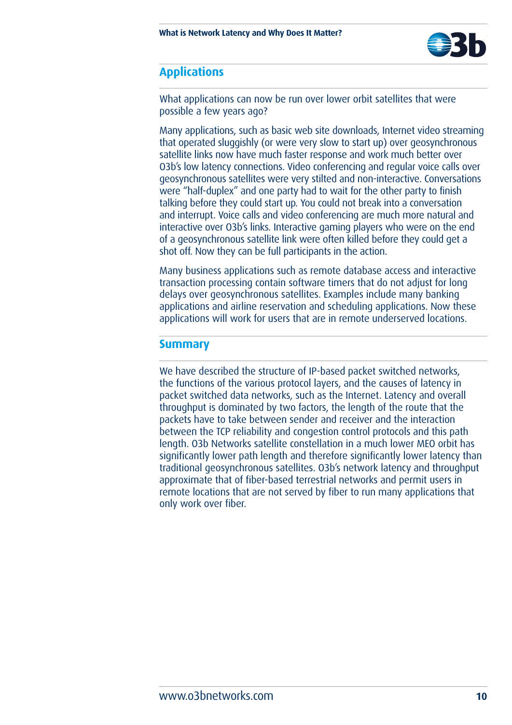

# **Applications**

What applications can now be run over lower orbit satellites that were possible a few years ago?

Many applications, such as basic web site downloads, Internet video streaming that operated sluggishly (or were very slow to start up) over geosynchronous satellite links now have much faster response and work much better over O3b's low latency connections. Video conferencing and regular voice calls over geosynchronous satellites were very stilted and non-interactive. Conversations were "half-duplex" and one party had to wait for the other party to finish talking before they could start up. You could not break into a conversation and interrupt. Voice calls and video conferencing are much more natural and interactive over O3b's links. Interactive gaming players who were on the end of a geosynchronous satellite link were often killed before they could get a shot off. Now they can be full participants in the action.

Many business applications such as remote database access and interactive transaction processing contain software timers that do not adjust for long delays over geosynchronous satellites. Examples include many banking applications and airline reservation and scheduling applications. Now these applications will work for users that are in remote underserved locations.

## **Summary**

We have described the structure of IP-based packet switched networks, the functions of the various protocol layers, and the causes of latency in packet switched data networks, such as the Internet. Latency and overall throughput is dominated by two factors, the length of the route that the packets have to take between sender and receiver and the interaction between the TCP reliability and congestion control protocols and this path length. O3b Networks satellite constellation in a much lower MEO orbit has significantly lower path length and therefore significantly lower latency than traditional geosynchronous satellites. O3b's network latency and throughput approximate that of fiber-based terrestrial networks and permit users in remote locations that are not served by fiber to run many applications that only work over fiber.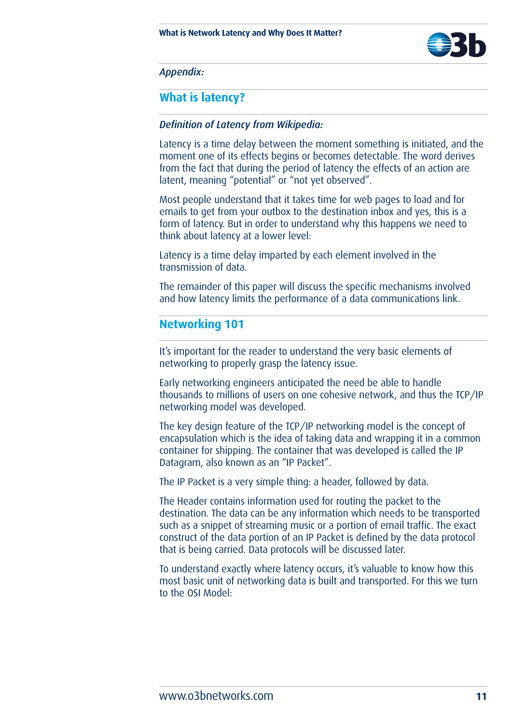

*Appendix:* 

## **What is latency?**

### *Definition of Latency from Wikipedia:*

Latency is a time delay between the moment something is initiated, and the moment one of its effects begins or becomes detectable. The word derives from the fact that during the period of latency the effects of an action are latent, meaning "potential" or "not yet observed".

Most people understand that it takes time for web pages to load and for emails to get from your outbox to the destination inbox and yes, this is a form of latency. But in order to understand why this happens we need to think about latency at a lower level:

Latency is a time delay imparted by each element involved in the transmission of data.

The remainder of this paper will discuss the specific mechanisms involved and how latency limits the performance of a data communications link.

## **Networking 101**

It's important for the reader to understand the very basic elements of networking to properly grasp the latency issue.

Early networking engineers anticipated the need be able to handle thousands to millions of users on one cohesive network, and thus the TCP/IP networking model was developed.

The key design feature of the TCP/IP networking model is the concept of encapsulation which is the idea of taking data and wrapping it in a common container for shipping. The container that was developed is called the IP Datagram, also known as an "IP Packet".

The IP Packet is a very simple thing: a header, followed by data.

The Header contains information used for routing the packet to the destination. The data can be any information which needs to be transported such as a snippet of streaming music or a portion of email traffic. The exact construct of the data portion of an IP Packet is defined by the data protocol that is being carried. Data protocols will be discussed later.

To understand exactly where latency occurs, it's valuable to know how this most basic unit of networking data is built and transported. For this we turn to the OSI Model: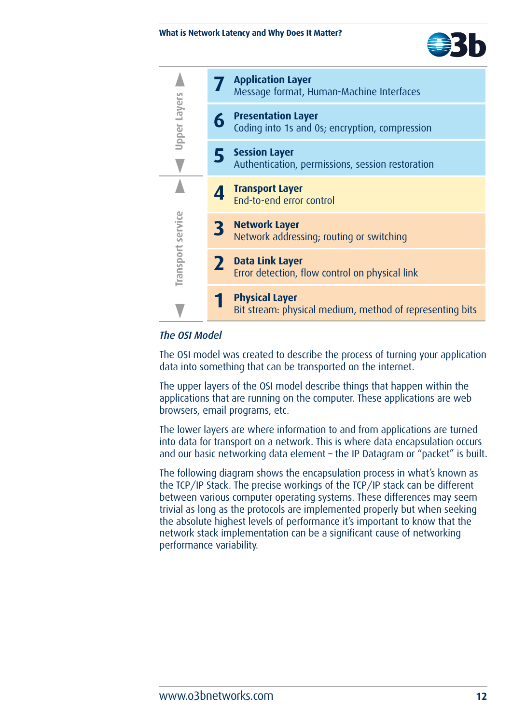



## *The OSI Model*

The OSI model was created to describe the process of turning your application data into something that can be transported on the internet.

The upper layers of the OSI model describe things that happen within the applications that are running on the computer. These applications are web browsers, email programs, etc.

The lower layers are where information to and from applications are turned into data for transport on a network. This is where data encapsulation occurs and our basic networking data element – the IP Datagram or "packet" is built.

The following diagram shows the encapsulation process in what's known as the TCP/IP Stack. The precise workings of the TCP/IP stack can be different between various computer operating systems. These differences may seem trivial as long as the protocols are implemented properly but when seeking the absolute highest levels of performance it's important to know that the network stack implementation can be a significant cause of networking performance variability.